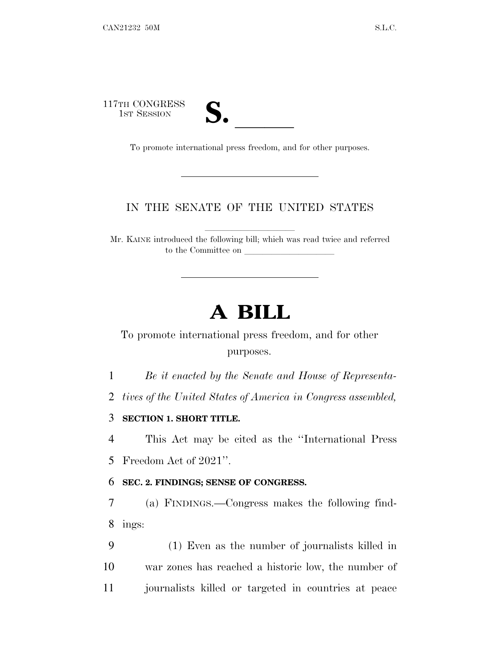117TH CONGRESS

TH CONGRESS<br>
1ST SESSION<br>
To promote international press freedom, and for other purposes.

## IN THE SENATE OF THE UNITED STATES

Mr. KAINE introduced the following bill; which was read twice and referred to the Committee on

# **A BILL**

To promote international press freedom, and for other purposes.

1 *Be it enacted by the Senate and House of Representa-*

2 *tives of the United States of America in Congress assembled,*

3 **SECTION 1. SHORT TITLE.**

4 This Act may be cited as the ''International Press 5 Freedom Act of 2021''.

#### 6 **SEC. 2. FINDINGS; SENSE OF CONGRESS.**

7 (a) FINDINGS.—Congress makes the following find-8 ings:

9 (1) Even as the number of journalists killed in 10 war zones has reached a historic low, the number of 11 journalists killed or targeted in countries at peace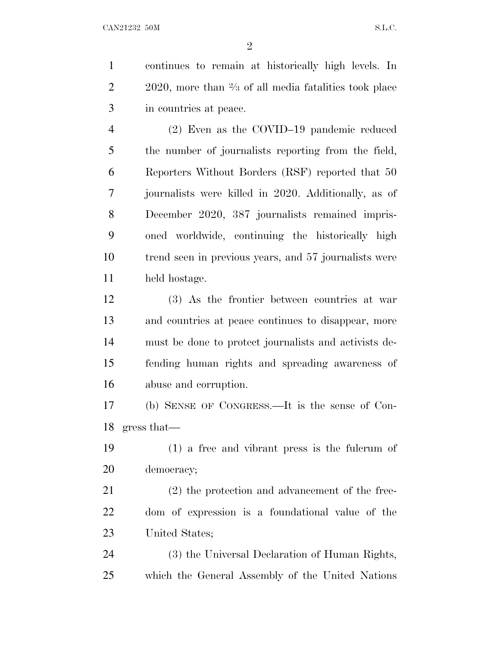continues to remain at historically high levels. In , more than  $\frac{2}{3}$  of all media fatalities took place in countries at peace.

 (2) Even as the COVID–19 pandemic reduced the number of journalists reporting from the field, Reporters Without Borders (RSF) reported that 50 journalists were killed in 2020. Additionally, as of December 2020, 387 journalists remained impris- oned worldwide, continuing the historically high trend seen in previous years, and 57 journalists were held hostage.

 (3) As the frontier between countries at war and countries at peace continues to disappear, more must be done to protect journalists and activists de- fending human rights and spreading awareness of abuse and corruption.

 (b) SENSE OF CONGRESS.—It is the sense of Con-gress that—

 (1) a free and vibrant press is the fulcrum of democracy;

 (2) the protection and advancement of the free- dom of expression is a foundational value of the United States;

 (3) the Universal Declaration of Human Rights, which the General Assembly of the United Nations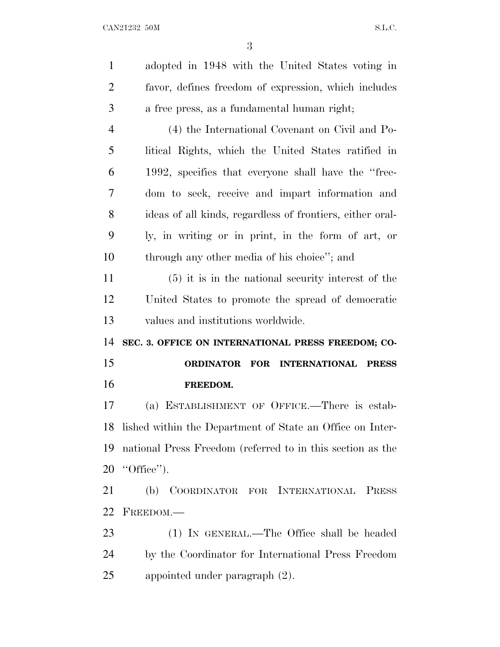adopted in 1948 with the United States voting in favor, defines freedom of expression, which includes a free press, as a fundamental human right; (4) the International Covenant on Civil and Po- litical Rights, which the United States ratified in 1992, specifies that everyone shall have the ''free- dom to seek, receive and impart information and ideas of all kinds, regardless of frontiers, either oral- ly, in writing or in print, in the form of art, or through any other media of his choice''; and (5) it is in the national security interest of the United States to promote the spread of democratic values and institutions worldwide. **SEC. 3. OFFICE ON INTERNATIONAL PRESS FREEDOM; CO- ORDINATOR FOR INTERNATIONAL PRESS FREEDOM.** (a) ESTABLISHMENT OF OFFICE.—There is estab- lished within the Department of State an Office on Inter- national Press Freedom (referred to in this section as the ''Office''). (b) COORDINATOR FOR INTERNATIONAL PRESS FREEDOM.— (1) IN GENERAL.—The Office shall be headed

 by the Coordinator for International Press Freedom appointed under paragraph (2).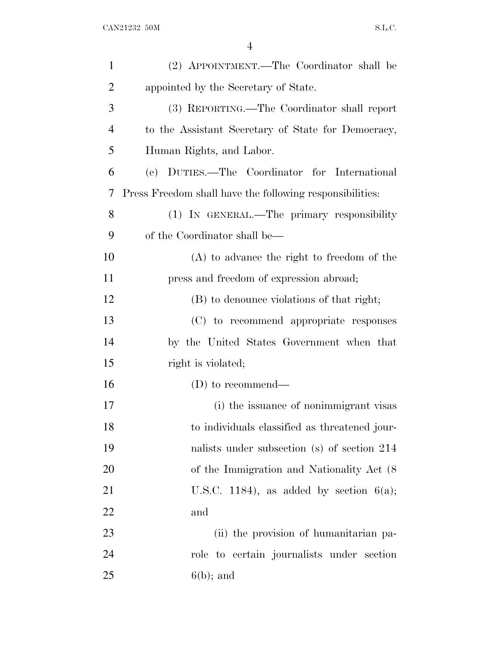| $\mathbf{1}$   | (2) APPOINTMENT.—The Coordinator shall be                |
|----------------|----------------------------------------------------------|
| $\overline{2}$ | appointed by the Secretary of State.                     |
| 3              | (3) REPORTING.—The Coordinator shall report              |
| 4              | to the Assistant Secretary of State for Democracy,       |
| 5              | Human Rights, and Labor.                                 |
| 6              | (c) DUTIES.—The Coordinator for International            |
| 7              | Press Freedom shall have the following responsibilities: |
| 8              | (1) IN GENERAL.—The primary responsibility               |
| 9              | of the Coordinator shall be—                             |
| 10             | $(A)$ to advance the right to freedom of the             |
| 11             | press and freedom of expression abroad;                  |
| 12             | (B) to denounce violations of that right;                |
| 13             | (C) to recommend appropriate responses                   |
| 14             | by the United States Government when that                |
| 15             | right is violated;                                       |
| 16             | $(D)$ to recommend—                                      |
| 17             | (i) the issuance of nonimmigrant visas                   |
| 18             | to individuals classified as threatened jour-            |
| 19             | nalists under subsection (s) of section 214              |
| 20             | of the Immigration and Nationality Act (8)               |
| 21             | U.S.C. 1184), as added by section $6(a)$ ;               |
| 22             | and                                                      |
| 23             | (ii) the provision of humanitarian pa-                   |
| 24             | role to certain journalists under section                |
| 25             | $6(b)$ ; and                                             |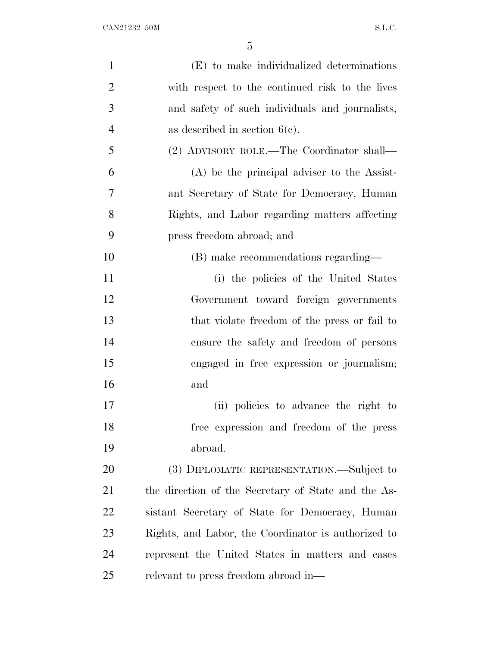| $\mathbf{1}$   | (E) to make individualized determinations           |
|----------------|-----------------------------------------------------|
| $\overline{2}$ | with respect to the continued risk to the lives     |
| 3              | and safety of such individuals and journalists,     |
| $\overline{4}$ | as described in section $6(c)$ .                    |
| 5              | (2) ADVISORY ROLE.—The Coordinator shall—           |
| 6              | $(A)$ be the principal adviser to the Assist-       |
| 7              | ant Secretary of State for Democracy, Human         |
| 8              | Rights, and Labor regarding matters affecting       |
| 9              | press freedom abroad; and                           |
| 10             | (B) make recommendations regarding—                 |
| 11             | (i) the policies of the United States               |
| 12             | Government toward foreign governments               |
| 13             | that violate freedom of the press or fail to        |
| 14             | ensure the safety and freedom of persons            |
| 15             | engaged in free expression or journalism;           |
| 16             | and                                                 |
| 17             | (ii) policies to advance the right to               |
| 18             | free expression and freedom of the press            |
| 19             | abroad.                                             |
| 20             | (3) DIPLOMATIC REPRESENTATION.—Subject to           |
| 21             | the direction of the Secretary of State and the As- |
| 22             | sistant Secretary of State for Democracy, Human     |
| 23             | Rights, and Labor, the Coordinator is authorized to |
| 24             | represent the United States in matters and cases    |
| 25             | relevant to press freedom abroad in—                |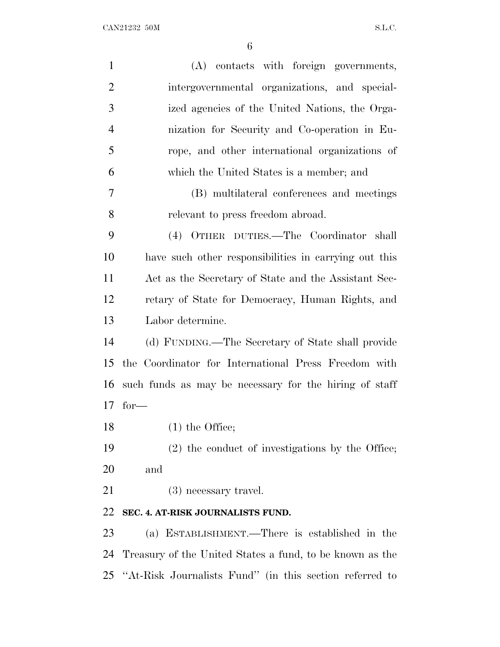| $\mathbf{1}$   | (A) contacts with foreign governments,                     |
|----------------|------------------------------------------------------------|
| $\overline{2}$ | intergovernmental organizations, and special-              |
| 3              | ized agencies of the United Nations, the Orga-             |
| $\overline{4}$ | nization for Security and Co-operation in Eu-              |
| 5              | rope, and other international organizations of             |
| 6              | which the United States is a member; and                   |
| 7              | (B) multilateral conferences and meetings                  |
| 8              | relevant to press freedom abroad.                          |
| 9              | (4) OTHER DUTIES.—The Coordinator shall                    |
| 10             | have such other responsibilities in carrying out this      |
| 11             | Act as the Secretary of State and the Assistant Sec-       |
| 12             | retary of State for Democracy, Human Rights, and           |
| 13             | Labor determine.                                           |
| 14             | (d) FUNDING.—The Secretary of State shall provide          |
| 15             | the Coordinator for International Press Freedom with       |
| 16             | such funds as may be necessary for the hiring of staff     |
| 17             | $for-$                                                     |
| 18             | $(1)$ the Office;                                          |
| 19             | (2) the conduct of investigations by the Office;           |
| 20             | and                                                        |
| 21             | (3) necessary travel.                                      |
| 22             | SEC. 4. AT-RISK JOURNALISTS FUND.                          |
| 23             | (a) ESTABLISHMENT.—There is established in the             |
| 24             | Treasury of the United States a fund, to be known as the   |
|                | 25 "At-Risk Journalists Fund" (in this section referred to |
|                |                                                            |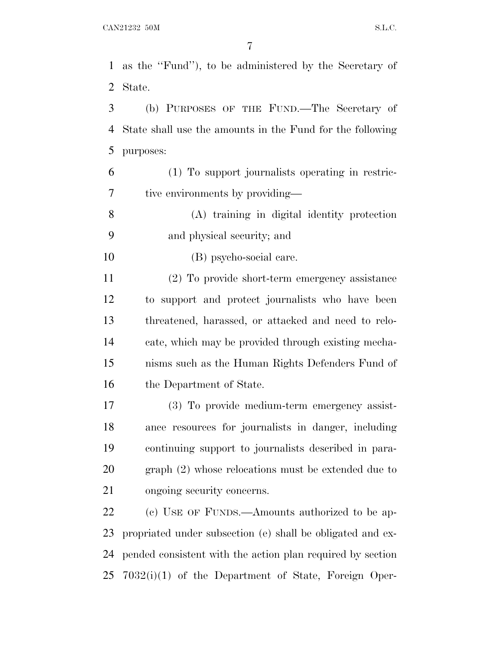as the ''Fund''), to be administered by the Secretary of State.

 (b) PURPOSES OF THE FUND.—The Secretary of State shall use the amounts in the Fund for the following purposes:

 (1) To support journalists operating in restric-tive environments by providing—

 (A) training in digital identity protection and physical security; and

(B) psycho-social care.

 (2) To provide short-term emergency assistance to support and protect journalists who have been threatened, harassed, or attacked and need to relo- cate, which may be provided through existing mecha- nisms such as the Human Rights Defenders Fund of 16 the Department of State.

 (3) To provide medium-term emergency assist- ance resources for journalists in danger, including continuing support to journalists described in para- graph (2) whose relocations must be extended due to ongoing security concerns.

22 (c) USE OF FUNDS.—Amounts authorized to be ap- propriated under subsection (e) shall be obligated and ex- pended consistent with the action plan required by section 7032(i)(1) of the Department of State, Foreign Oper-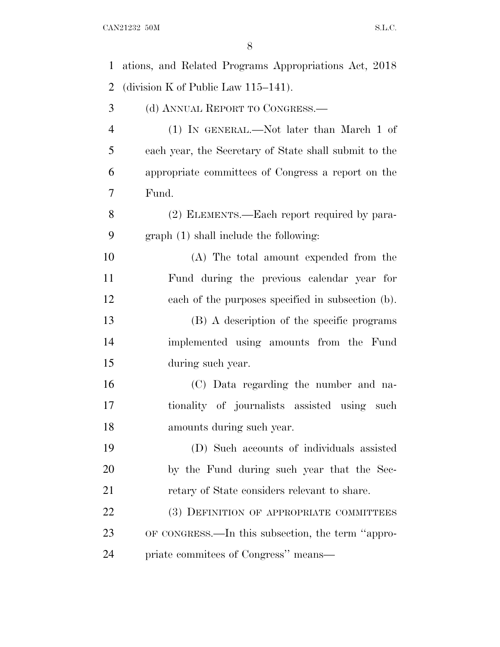| $\mathbf{1}$   | ations, and Related Programs Appropriations Act, 2018 |
|----------------|-------------------------------------------------------|
| $\overline{2}$ | (division K of Public Law $115-141$ ).                |
| 3              | (d) ANNUAL REPORT TO CONGRESS.—                       |
| $\overline{4}$ | (1) IN GENERAL.—Not later than March 1 of             |
| 5              | each year, the Secretary of State shall submit to the |
| 6              | appropriate committees of Congress a report on the    |
| $\tau$         | Fund.                                                 |
| 8              | (2) ELEMENTS.—Each report required by para-           |
| 9              | $graph(1)$ shall include the following:               |
| 10             | (A) The total amount expended from the                |
| 11             | Fund during the previous calendar year for            |
| 12             | each of the purposes specified in subsection (b).     |
| 13             | (B) A description of the specific programs            |
| 14             | implemented using amounts from the Fund               |
| 15             | during such year.                                     |
| 16             | (C) Data regarding the number and na-                 |
| 17             | tionality of journalists assisted using<br>such       |
| 18             | amounts during such year.                             |
| 19             | (D) Such accounts of individuals assisted             |
| 20             | by the Fund during such year that the Sec-            |
| 21             | retary of State considers relevant to share.          |
| 22             | (3) DEFINITION OF APPROPRIATE COMMITTEES              |
| 23             | OF CONGRESS.—In this subsection, the term "appro-     |
| 24             | priate commitees of Congress" means—                  |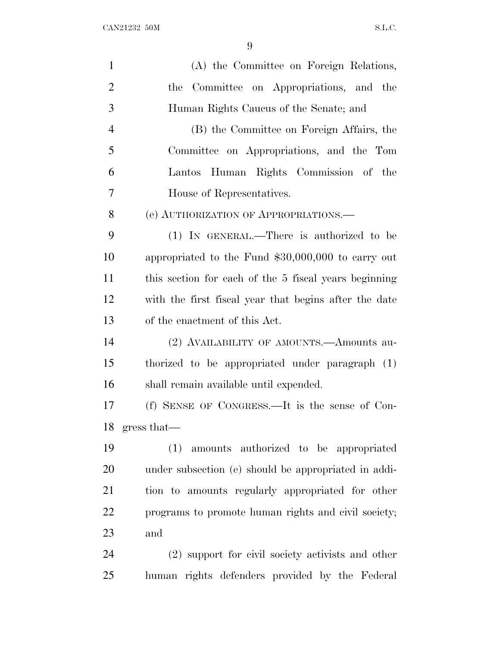| $\mathbf{1}$   | (A) the Committee on Foreign Relations,               |
|----------------|-------------------------------------------------------|
| $\overline{2}$ | Committee on Appropriations, and the<br>the           |
| 3              | Human Rights Caucus of the Senate; and                |
| $\overline{4}$ | (B) the Committee on Foreign Affairs, the             |
| 5              | Committee on Appropriations, and the Tom              |
| 6              | Lantos Human Rights Commission of the                 |
| 7              | House of Representatives.                             |
| 8              | (e) AUTHORIZATION OF APPROPRIATIONS.—                 |
| 9              | (1) IN GENERAL.—There is authorized to be             |
| 10             | appropriated to the Fund \$30,000,000 to carry out    |
| 11             | this section for each of the 5 fiscal years beginning |
| 12             | with the first fiscal year that begins after the date |
| 13             | of the enactment of this Act.                         |
| 14             | (2) AVAILABILITY OF AMOUNTS.—Amounts au-              |
| 15             | thorized to be appropriated under paragraph (1)       |
| 16             | shall remain available until expended.                |
| 17             | (f) SENSE OF CONGRESS.—It is the sense of Con-        |
| 18             | gress that—                                           |
| 19             | (1) amounts authorized to be appropriated             |
| 20             | under subsection (e) should be appropriated in addi-  |
| 21             | tion to amounts regularly appropriated for other      |
| 22             | programs to promote human rights and civil society;   |
| 23             | and                                                   |
| 24             | (2) support for civil society activists and other     |
| 25             | human rights defenders provided by the Federal        |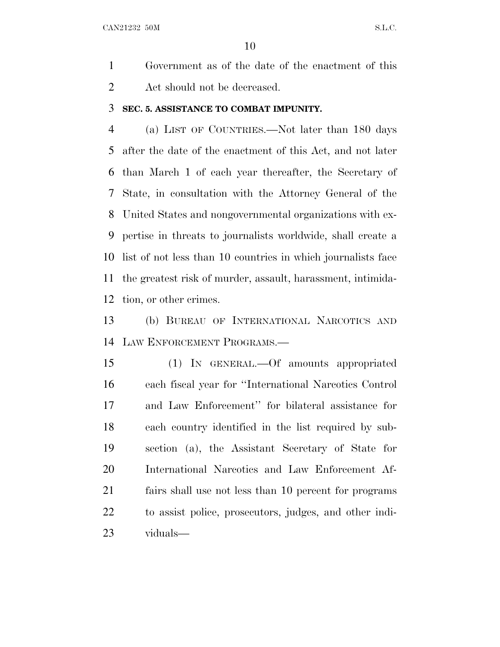CAN21232 50M S.L.C.

 Government as of the date of the enactment of this Act should not be decreased.

#### **SEC. 5. ASSISTANCE TO COMBAT IMPUNITY.**

 (a) LIST OF COUNTRIES.—Not later than 180 days after the date of the enactment of this Act, and not later than March 1 of each year thereafter, the Secretary of State, in consultation with the Attorney General of the United States and nongovernmental organizations with ex- pertise in threats to journalists worldwide, shall create a list of not less than 10 countries in which journalists face the greatest risk of murder, assault, harassment, intimida-tion, or other crimes.

 (b) BUREAU OF INTERNATIONAL NARCOTICS AND LAW ENFORCEMENT PROGRAMS.—

 (1) IN GENERAL.—Of amounts appropriated each fiscal year for ''International Narcotics Control and Law Enforcement'' for bilateral assistance for each country identified in the list required by sub- section (a), the Assistant Secretary of State for International Narcotics and Law Enforcement Af- fairs shall use not less than 10 percent for programs to assist police, prosecutors, judges, and other indi-viduals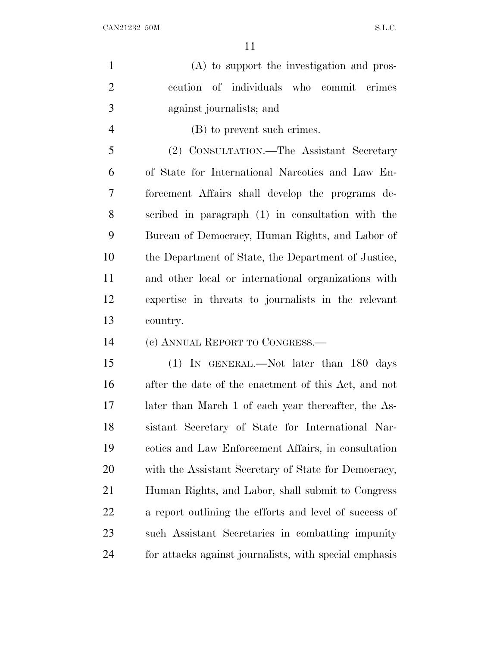$CAN21232$  50M S.L.C.

| $\mathbf{1}$   | (A) to support the investigation and pros-             |
|----------------|--------------------------------------------------------|
| $\overline{2}$ | ecution of individuals who commit crimes               |
| 3              | against journalists; and                               |
| $\overline{4}$ | (B) to prevent such crimes.                            |
| 5              | (2) CONSULTATION.—The Assistant Secretary              |
| 6              | of State for International Narcotics and Law En-       |
| $\overline{7}$ | forcement Affairs shall develop the programs de-       |
| 8              | scribed in paragraph (1) in consultation with the      |
| 9              | Bureau of Democracy, Human Rights, and Labor of        |
| 10             | the Department of State, the Department of Justice,    |
| 11             | and other local or international organizations with    |
| 12             | expertise in threats to journalists in the relevant    |
| 13             | country.                                               |
| 14             | (c) ANNUAL REPORT TO CONGRESS.—                        |
| 15             | (1) IN GENERAL.—Not later than 180 days                |
| 16             | after the date of the enactment of this Act, and not   |
| 17             | later than March 1 of each year thereafter, the As-    |
| 18             | sistant Secretary of State for International Nar-      |
| 19             | cotics and Law Enforcement Affairs, in consultation    |
| 20             | with the Assistant Secretary of State for Democracy,   |
| 21             | Human Rights, and Labor, shall submit to Congress      |
| 22             | a report outlining the efforts and level of success of |
| 23             | such Assistant Secretaries in combatting impunity      |

for attacks against journalists, with special emphasis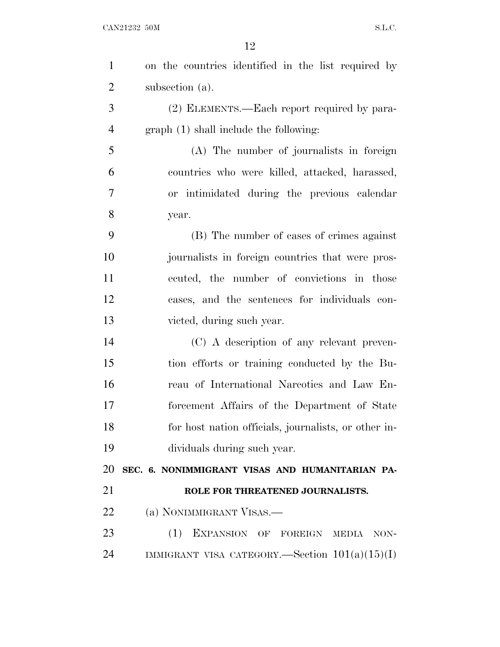| $\mathbf{1}$   | on the countries identified in the list required by  |
|----------------|------------------------------------------------------|
| $\overline{2}$ | subsection (a).                                      |
| 3              | (2) ELEMENTS.—Each report required by para-          |
| $\overline{4}$ | graph (1) shall include the following:               |
| 5              | (A) The number of journalists in foreign             |
| 6              | countries who were killed, attacked, harassed,       |
| 7              | or intimidated during the previous calendar          |
| 8              | year.                                                |
| 9              | (B) The number of cases of crimes against            |
| 10             | journalists in foreign countries that were pros-     |
| 11             | ecuted, the number of convictions in those           |
| 12             | cases, and the sentences for individuals con-        |
| 13             | victed, during such year.                            |
| 14             | (C) A description of any relevant preven-            |
| 15             | tion efforts or training conducted by the Bu-        |
| 16             | reau of International Narcotics and Law En-          |
| 17             | forcement Affairs of the Department of State         |
| 18             | for host nation officials, journalists, or other in- |
| 19             | dividuals during such year.                          |
| 20             | SEC. 6. NONIMMIGRANT VISAS AND HUMANITARIAN PA-      |
| 21             | ROLE FOR THREATENED JOURNALISTS.                     |
| 22             | (a) NONIMMIGRANT VISAS.—                             |
| 23             | (1)<br>EXPANSION OF FOREIGN MEDIA<br>NON-            |
| 24             | IMMIGRANT VISA CATEGORY.—Section $101(a)(15)(I)$     |
|                |                                                      |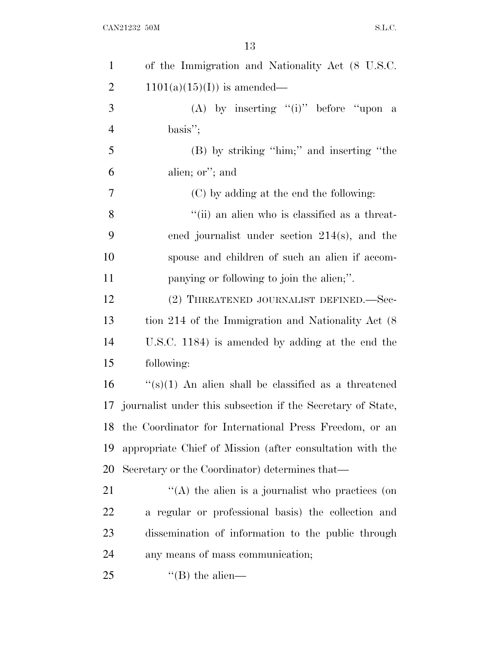$\begin{minipage}{.4\linewidth} \textbf{CAN21232} & 50\textbf{M} \end{minipage}$ 

| $\mathbf{1}$   | of the Immigration and Nationality Act (8 U.S.C.            |
|----------------|-------------------------------------------------------------|
| $\overline{2}$ | $1101(a)(15)(I)$ is amended—                                |
| 3              | (A) by inserting "(i)" before "upon a                       |
| $\overline{4}$ | $basis$ ";                                                  |
| 5              | (B) by striking "him;" and inserting "the                   |
| 6              | alien; or"; and                                             |
| 7              | (C) by adding at the end the following:                     |
| 8              | "(ii) an alien who is classified as a threat-               |
| 9              | ened journalist under section $214(s)$ , and the            |
| 10             | spouse and children of such an alien if accom-              |
| 11             | panying or following to join the alien;".                   |
| 12             | (2) THREATENED JOURNALIST DEFINED.—Sec-                     |
| 13             | tion 214 of the Immigration and Nationality Act (8)         |
| 14             | U.S.C. 1184) is amended by adding at the end the            |
| 15             | following:                                                  |
| 16             | " $(s)(1)$ An alien shall be classified as a threatened     |
| 17             | journalist under this subsection if the Secretary of State, |
| 18             | the Coordinator for International Press Freedom, or an      |
| 19             | appropriate Chief of Mission (after consultation with the   |
| 20             | Secretary or the Coordinator) determines that—              |
| 21             | $\lq\lq$ the alien is a journalist who practices (on        |
| 22             | a regular or professional basis) the collection and         |
| 23             | dissemination of information to the public through          |
| 24             | any means of mass communication;                            |
| 25             | $\lq$ (B) the alien—                                        |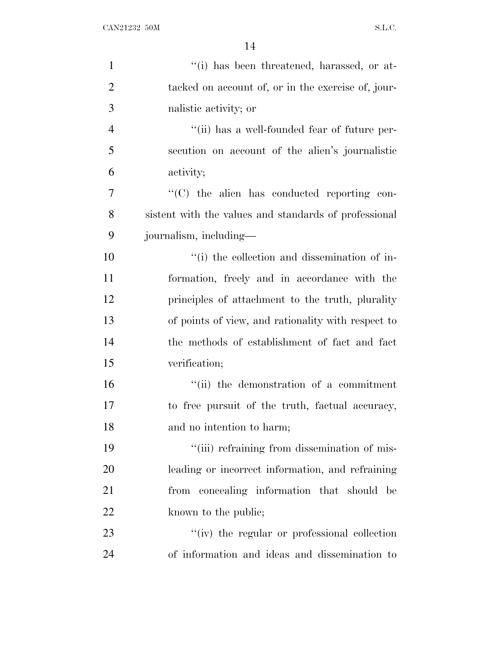| $\mathbf{1}$   | "(i) has been threatened, harassed, or at-            |
|----------------|-------------------------------------------------------|
| $\overline{2}$ | tacked on account of, or in the exercise of, jour-    |
| 3              | nalistic activity; or                                 |
| $\overline{4}$ | "(ii) has a well-founded fear of future per-          |
| 5              | secution on account of the alien's journalistic       |
| 6              | activity;                                             |
| 7              | $\cdot$ (C) the alien has conducted reporting con-    |
| 8              | sistent with the values and standards of professional |
| 9              | journalism, including—                                |
| 10             | "(i) the collection and dissemination of in-          |
| 11             | formation, freely and in accordance with the          |
| 12             | principles of attachment to the truth, plurality      |
| 13             | of points of view, and rationality with respect to    |
| 14             | the methods of establishment of fact and fact         |
| 15             | verification;                                         |
| 16             | "(ii) the demonstration of a commitment               |
| 17             | to free pursuit of the truth, factual accuracy,       |
| 18             | and no intention to harm;                             |
| 19             | "(iii) refraining from dissemination of mis-          |
| 20             | leading or incorrect information, and refraining      |
| 21             | from concealing information that should<br>be         |
| 22             | known to the public;                                  |
| 23             | "(iv) the regular or professional collection          |
| 24             | of information and ideas and dissemination to         |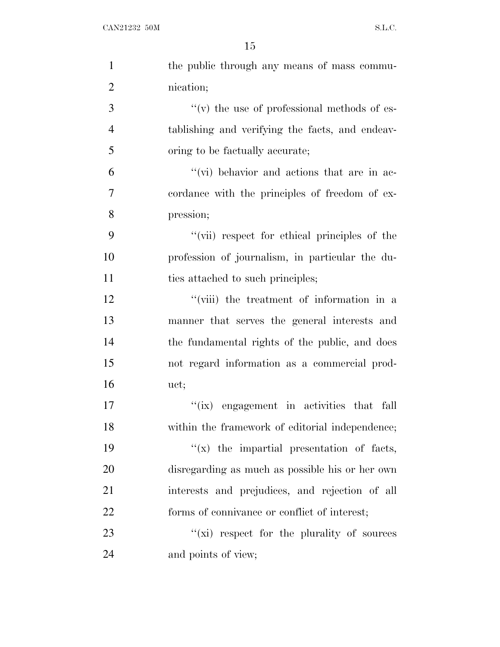| $\mathbf{1}$   | the public through any means of mass commu-         |
|----------------|-----------------------------------------------------|
| $\overline{2}$ | nication;                                           |
| 3              | $\lq\lq$ (v) the use of professional methods of es- |
| 4              | tablishing and verifying the facts, and endeav-     |
| 5              | oring to be factually accurate;                     |
| 6              | "(vi) behavior and actions that are in ac-          |
| 7              | cordance with the principles of freedom of ex-      |
| 8              | pression;                                           |
| 9              | "(vii) respect for ethical principles of the        |
| 10             | profession of journalism, in particular the du-     |
| 11             | ties attached to such principles;                   |
| 12             | "(viii) the treatment of information in a           |
| 13             | manner that serves the general interests and        |
| 14             | the fundamental rights of the public, and does      |
| 15             | not regard information as a commercial prod-        |
| 16             | uct;                                                |
| 17             | "(ix) engagement in activities that fall            |
| 18             | within the framework of editorial independence;     |
| 19             | $f(x)$ the impartial presentation of facts,         |
| 20             | disregarding as much as possible his or her own     |
| 21             | interests and prejudices, and rejection of all      |
| 22             | forms of connivance or conflict of interest;        |
| 23             | $f(x)$ respect for the plurality of sources         |
| 24             | and points of view;                                 |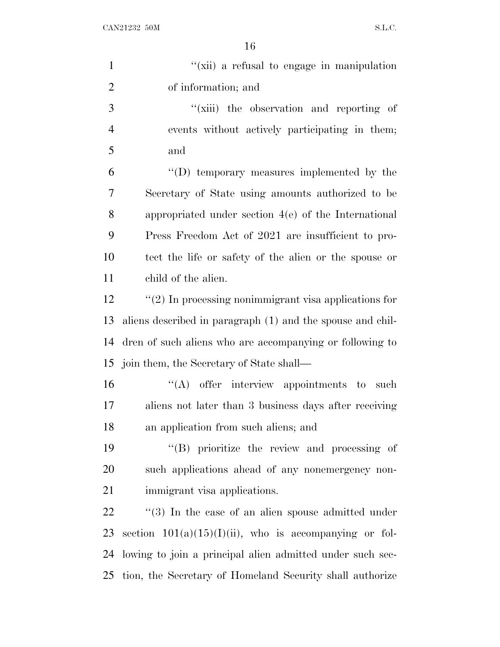$CAN21232$  50M S.L.C.

| $\mathbf{1}$   | "(xii) a refusal to engage in manipulation                 |
|----------------|------------------------------------------------------------|
| $\overline{2}$ | of information; and                                        |
| 3              | "(xiii) the observation and reporting of                   |
| $\overline{4}$ | events without actively participating in them,             |
| 5              | and                                                        |
| 6              | "(D) temporary measures implemented by the                 |
| 7              | Secretary of State using amounts authorized to be          |
| 8              | appropriated under section $4(e)$ of the International     |
| 9              | Press Freedom Act of 2021 are insufficient to pro-         |
| 10             | tect the life or safety of the alien or the spouse or      |
| 11             | child of the alien.                                        |
| 12             | $\lq(2)$ In processing nonimmigrant visa applications for  |
| 13             | aliens described in paragraph (1) and the spouse and chil- |
| 14             | dren of such aliens who are accompanying or following to   |
|                | 15 join them, the Secretary of State shall—                |
| 16             | $\lq\lq$ offer interview appointments to<br>such           |
| 17             | aliens not later than 3 business days after receiving      |
| 18             | an application from such aliens; and                       |
| 19             | $\lq\lq(B)$ prioritize the review and processing of        |
| 20             | such applications ahead of any nonemergency non-           |
| 21             | immigrant visa applications.                               |
| 22             | $\lq(3)$ In the case of an alien spouse admitted under     |
| 23             | section $101(a)(15)(I)(ii)$ , who is accompanying or fol-  |
| 24             | lowing to join a principal alien admitted under such sec-  |
| 25             | tion, the Secretary of Homeland Security shall authorize   |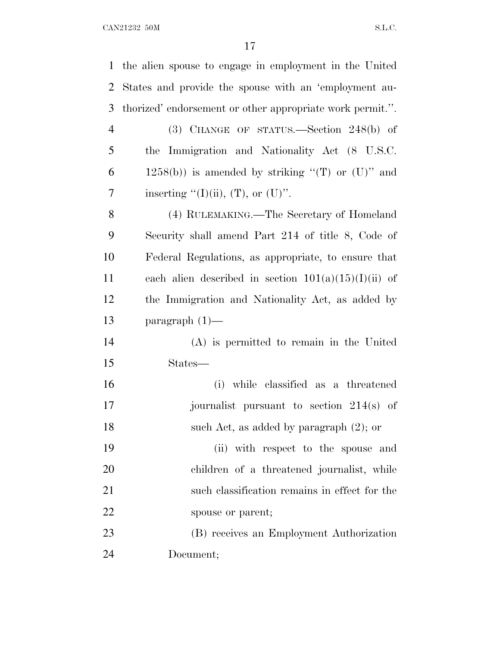|                | 1 the alien spouse to engage in employment in the United  |
|----------------|-----------------------------------------------------------|
| 2              | States and provide the spouse with an 'employment au-     |
| 3              | thorized' endorsement or other appropriate work permit.". |
| $\overline{4}$ | $(3)$ CHANGE OF STATUS.—Section 248(b) of                 |
| 5              | the Immigration and Nationality Act (8 U.S.C.             |
| 6              | $1258(b)$ ) is amended by striking "(T) or (U)" and       |
| 7              | inserting "(I)(ii), $(T)$ , or $(U)$ ".                   |
| 8              | (4) RULEMAKING.—The Secretary of Homeland                 |
| 9              | Security shall amend Part 214 of title 8, Code of         |
| 10             | Federal Regulations, as appropriate, to ensure that       |
| 11             | each alien described in section $101(a)(15)(I)(ii)$ of    |
| 12             | the Immigration and Nationality Act, as added by          |
| 13             | paragraph $(1)$ —                                         |
| 14             | (A) is permitted to remain in the United                  |
| 15             | States—                                                   |
| 16             | (i) while classified as a threatened                      |
| 17             | journalist pursuant to section $214(s)$ of                |
| 18             | such Act, as added by paragraph (2); or                   |
| 19             | (ii) with respect to the spouse and                       |
| 20             | children of a threatened journalist, while                |
| 21             | such classification remains in effect for the             |
| 22             | spouse or parent;                                         |
| 23             | (B) receives an Employment Authorization                  |
| 24             | Document;                                                 |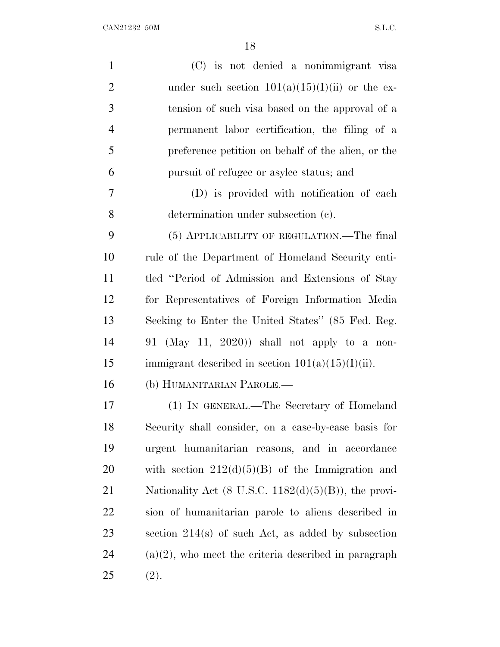| $\mathbf{1}$   | (C) is not denied a nonimmigrant visa                   |
|----------------|---------------------------------------------------------|
| $\overline{2}$ | under such section $101(a)(15)(I)(ii)$ or the ex-       |
| 3              | tension of such visa based on the approval of a         |
| 4              | permanent labor certification, the filing of a          |
| 5              | preference petition on behalf of the alien, or the      |
| 6              | pursuit of refugee or asylee status; and                |
| 7              | (D) is provided with notification of each               |
| 8              | determination under subsection (c).                     |
| 9              | (5) APPLICABILITY OF REGULATION.—The final              |
| 10             | rule of the Department of Homeland Security enti-       |
| 11             | tled "Period of Admission and Extensions of Stay        |
| 12             | for Representatives of Foreign Information Media        |
| 13             | Seeking to Enter the United States" (85 Fed. Reg.       |
| 14             | 91 (May 11, 2020)) shall not apply to a non-            |
| 15             | immigrant described in section $101(a)(15)(I)(ii)$ .    |
| 16             | (b) HUMANITARIAN PAROLE.—                               |
| 17             | (1) IN GENERAL.—The Secretary of Homeland               |
| 18             | Security shall consider, on a case-by-case basis for    |
| 19             | urgent humanitarian reasons, and in accordance          |
| 20             | with section $212(d)(5)(B)$ of the Immigration and      |
| 21             | Nationality Act (8 U.S.C. $1182(d)(5)(B)$ ), the provi- |
| 22             | sion of humanitarian parole to aliens described in      |
| 23             | section $214(s)$ of such Act, as added by subsection    |
| 24             | $(a)(2)$ , who meet the criteria described in paragraph |
| 25             | (2).                                                    |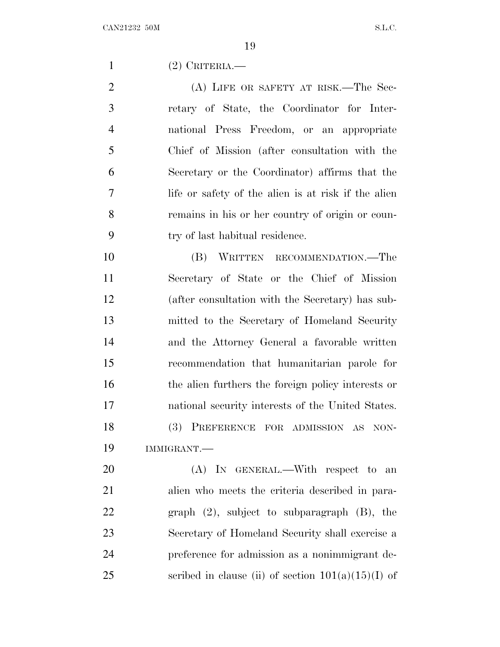(2) CRITERIA.—

2 (A) LIFE OR SAFETY AT RISK.—The Sec- retary of State, the Coordinator for Inter- national Press Freedom, or an appropriate Chief of Mission (after consultation with the Secretary or the Coordinator) affirms that the life or safety of the alien is at risk if the alien remains in his or her country of origin or coun-try of last habitual residence.

 (B) WRITTEN RECOMMENDATION.—The Secretary of State or the Chief of Mission (after consultation with the Secretary) has sub- mitted to the Secretary of Homeland Security and the Attorney General a favorable written recommendation that humanitarian parole for the alien furthers the foreign policy interests or national security interests of the United States. (3) PREFERENCE FOR ADMISSION AS NON-IMMIGRANT.—

20 (A) In GENERAL.—With respect to an alien who meets the criteria described in para- graph (2), subject to subparagraph (B), the Secretary of Homeland Security shall exercise a preference for admission as a nonimmigrant de-25 scribed in clause (ii) of section  $101(a)(15)(I)$  of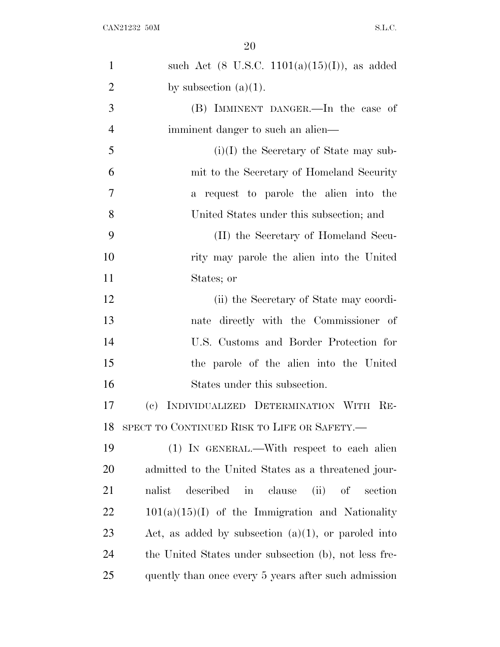| 1              | such Act $(8 \text{ U.S.C. } 1101(a)(15)(I))$ , as added |
|----------------|----------------------------------------------------------|
| $\overline{2}$ | by subsection $(a)(1)$ .                                 |
| 3              | (B) IMMINENT DANGER.—In the case of                      |
| 4              | imminent danger to such an alien—                        |
| 5              | $(i)(I)$ the Secretary of State may sub-                 |
| 6              | mit to the Secretary of Homeland Security                |
| 7              | a request to parole the alien into the                   |
| 8              | United States under this subsection; and                 |
| 9              | (II) the Secretary of Homeland Secu-                     |
| 10             | rity may parole the alien into the United                |
| 11             | States; or                                               |
| 12             | (ii) the Secretary of State may coordi-                  |
| 13             | nate directly with the Commissioner of                   |
| 14             | U.S. Customs and Border Protection for                   |
| 15             | the parole of the alien into the United                  |
| 16             | States under this subsection.                            |
| 17             | INDIVIDUALIZED DETERMINATION WITH RE-<br>(e)             |
| 18             | SPECT TO CONTINUED RISK TO LIFE OR SAFETY.-              |
| 19             | (1) IN GENERAL.—With respect to each alien               |
| <b>20</b>      | admitted to the United States as a threatened jour-      |
| 21             | $(ii)$ of<br>nalist<br>described in<br>clause<br>section |
| <u>22</u>      | $101(a)(15)(I)$ of the Immigration and Nationality       |
| 23             | Act, as added by subsection $(a)(1)$ , or paroled into   |
| 24             | the United States under subsection (b), not less fre-    |
| 25             | quently than once every 5 years after such admission     |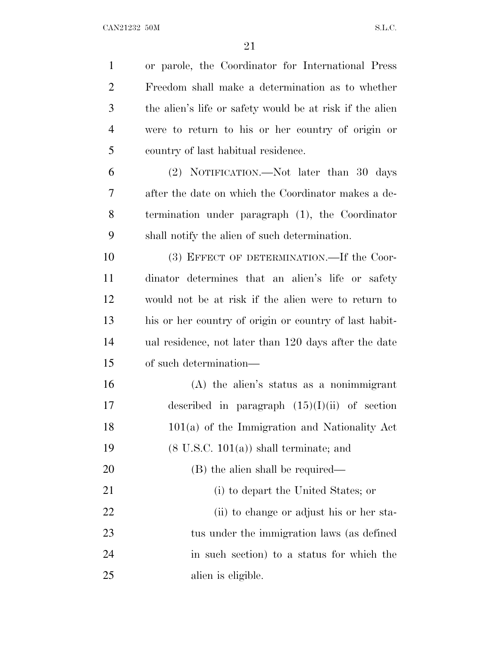CAN21232 50M S.L.C.

 or parole, the Coordinator for International Press Freedom shall make a determination as to whether the alien's life or safety would be at risk if the alien were to return to his or her country of origin or country of last habitual residence. (2) NOTIFICATION.—Not later than 30 days after the date on which the Coordinator makes a de- termination under paragraph (1), the Coordinator shall notify the alien of such determination. 10 (3) EFFECT OF DETERMINATION. If the Coor- dinator determines that an alien's life or safety would not be at risk if the alien were to return to his or her country of origin or country of last habit- ual residence, not later than 120 days after the date of such determination— (A) the alien's status as a nonimmigrant 17 described in paragraph  $(15)(I)(ii)$  of section 101(a) of the Immigration and Nationality Act  $(8 \text{ U.S.C. } 101(a))$  shall terminate; and 20 (B) the alien shall be required— (i) to depart the United States; or 22 (ii) to change or adjust his or her sta- tus under the immigration laws (as defined in such section) to a status for which the alien is eligible.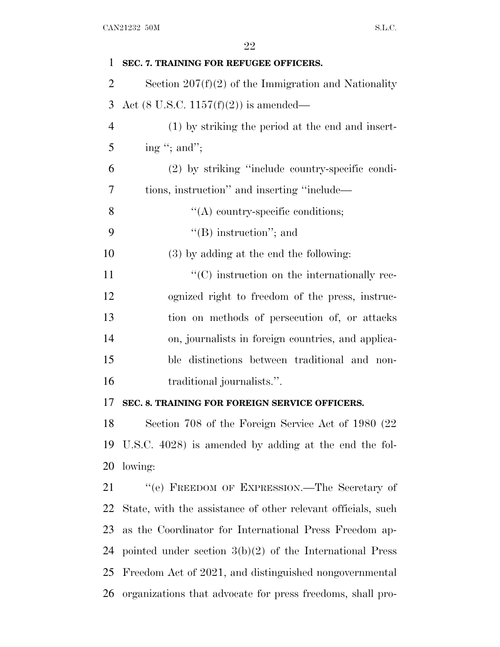| 1              | SEC. 7. TRAINING FOR REFUGEE OFFICERS.                       |
|----------------|--------------------------------------------------------------|
| $\overline{2}$ | Section $207(f)(2)$ of the Immigration and Nationality       |
| 3              | Act (8 U.S.C. 1157 $(f)(2)$ ) is amended—                    |
| $\overline{4}$ | (1) by striking the period at the end and insert-            |
| 5              | ing "; and";                                                 |
| 6              | (2) by striking "include country-specific condi-             |
| 7              | tions, instruction" and inserting "include—                  |
| 8              | $\lq\lq$ country-specific conditions;                        |
| 9              | $\lq\lq$ instruction"; and                                   |
| 10             | (3) by adding at the end the following:                      |
| 11             | $\lq\lq$ instruction on the internationally rec-             |
| 12             | ognized right to freedom of the press, instruc-              |
| 13             | tion on methods of persecution of, or attacks                |
| 14             | on, journalists in foreign countries, and applica-           |
| 15             | ble distinctions between traditional and non-                |
| 16             | traditional journalists.".                                   |
| 17             | SEC. 8. TRAINING FOR FOREIGN SERVICE OFFICERS.               |
| 18             | Section 708 of the Foreign Service Act of 1980 (22           |
| 19             | U.S.C. 4028) is amended by adding at the end the fol-        |
| 20             | lowing:                                                      |
| 21             | "(e) FREEDOM OF EXPRESSION.—The Secretary of                 |
| 22             | State, with the assistance of other relevant officials, such |
| 23             | as the Coordinator for International Press Freedom ap-       |
| 24             | pointed under section $3(b)(2)$ of the International Press   |
| 25             | Freedom Act of 2021, and distinguished nongovernmental       |
| 26             | organizations that advocate for press freedoms, shall pro-   |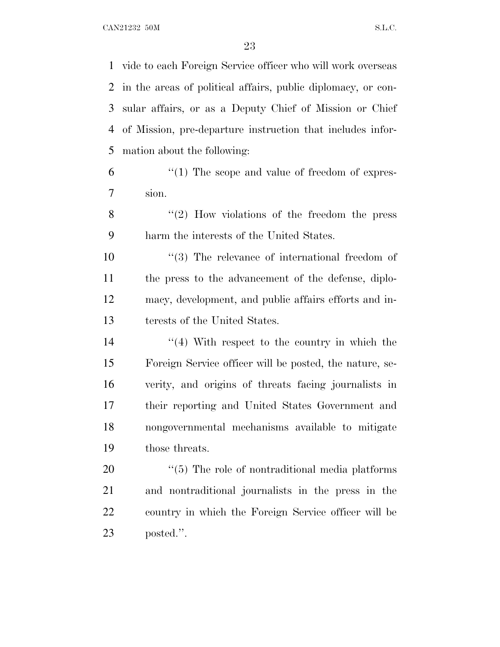vide to each Foreign Service officer who will work overseas in the areas of political affairs, public diplomacy, or con- sular affairs, or as a Deputy Chief of Mission or Chief of Mission, pre-departure instruction that includes infor-mation about the following:

- 6  $\frac{1}{2}$  (1) The scope and value of freedom of expres-sion.
- 8 "(2) How violations of the freedom the press harm the interests of the United States.

 $\frac{10}{10}$  The relevance of international freedom of the press to the advancement of the defense, diplo- macy, development, and public affairs efforts and in-terests of the United States.

14 ''(4) With respect to the country in which the Foreign Service officer will be posted, the nature, se- verity, and origins of threats facing journalists in their reporting and United States Government and nongovernmental mechanisms available to mitigate those threats.

 $\frac{4}{5}$  The role of nontraditional media platforms and nontraditional journalists in the press in the country in which the Foreign Service officer will be posted.''.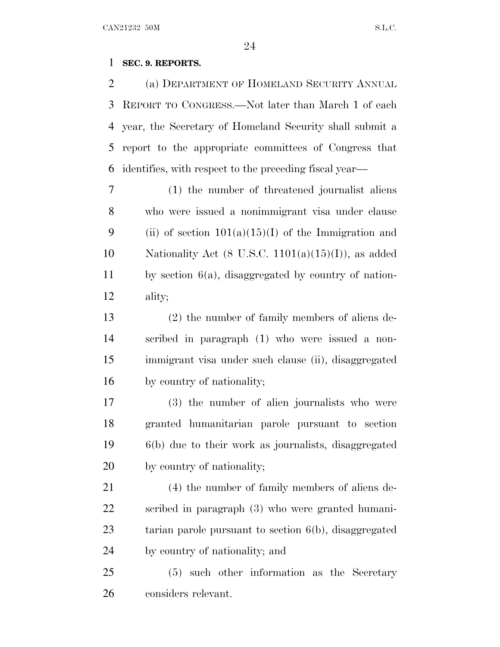### **SEC. 9. REPORTS.**

 (a) DEPARTMENT OF HOMELAND SECURITY ANNUAL REPORT TO CONGRESS.—Not later than March 1 of each year, the Secretary of Homeland Security shall submit a report to the appropriate committees of Congress that identifies, with respect to the preceding fiscal year—

 (1) the number of threatened journalist aliens who were issued a nonimmigrant visa under clause 9 (ii) of section  $101(a)(15)(I)$  of the Immigration and 10 Nationality Act (8 U.S.C.  $1101(a)(15)(I)$ ), as added by section 6(a), disaggregated by country of nation-ality;

 (2) the number of family members of aliens de- scribed in paragraph (1) who were issued a non- immigrant visa under such clause (ii), disaggregated by country of nationality;

 (3) the number of alien journalists who were granted humanitarian parole pursuant to section 6(b) due to their work as journalists, disaggregated by country of nationality;

 (4) the number of family members of aliens de- scribed in paragraph (3) who were granted humani- tarian parole pursuant to section 6(b), disaggregated by country of nationality; and

 (5) such other information as the Secretary considers relevant.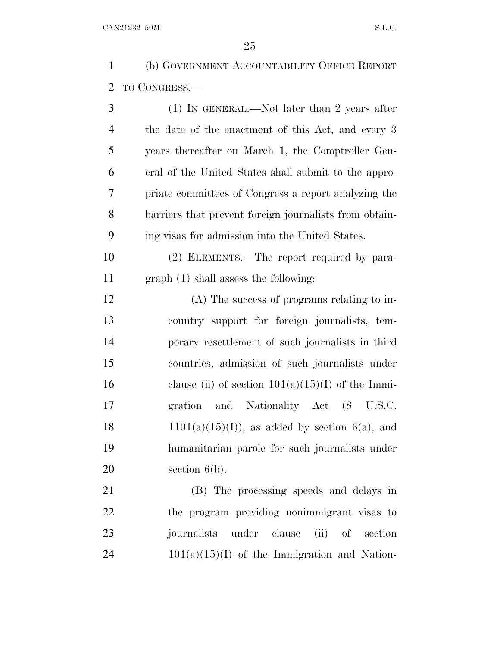(b) GOVERNMENT ACCOUNTABILITY OFFICE REPORT TO CONGRESS.—

| 3              | $(1)$ IN GENERAL.—Not later than 2 years after         |
|----------------|--------------------------------------------------------|
| $\overline{4}$ | the date of the enactment of this Act, and every 3     |
| 5              | years thereafter on March 1, the Comptroller Gen-      |
| 6              | eral of the United States shall submit to the appro-   |
| 7              | priate committees of Congress a report analyzing the   |
| 8              | barriers that prevent foreign journalists from obtain- |
| 9              | ing visas for admission into the United States.        |
| 10             | (2) ELEMENTS.—The report required by para-             |
| 11             | graph (1) shall assess the following:                  |
| 12             | (A) The success of programs relating to in-            |
| 13             | country support for foreign journalists, tem-          |
| 14             | porary resettlement of such journalists in third       |
| 15             | countries, admission of such journalists under         |
| 16             | clause (ii) of section $101(a)(15)(I)$ of the Immi-    |
| 17             | gration and Nationality Act (8 U.S.C.                  |
| 18             | $1101(a)(15)(I)$ , as added by section 6(a), and       |
| 19             | humanitarian parole for such journalists under         |
| 20             | section $6(b)$ .                                       |
| 21             | (B) The processing speeds and delays in                |
| 22             | the program providing nonimmigrant visas to            |

 journalists under clause (ii) of section 101(a)(15)(I) of the Immigration and Nation-